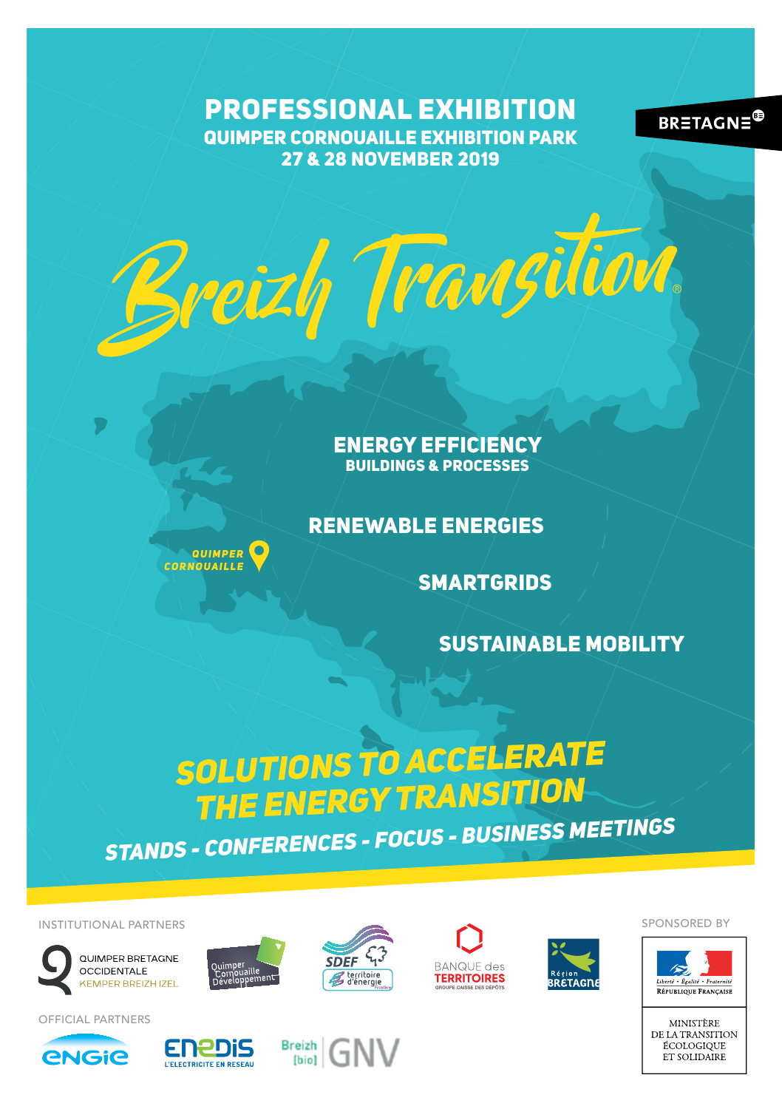PROFESSIONAL EXHIBITION QUIMPER CORNOUAILLE EXHIBITION PARK 27 & 28 NOVEMBER 2019

Breizh Transition



ENERGY EFFICIENCY BUILDINGS & PROCESSES

RENEWABLE ENERGIES



SMARTGRIDS

SUSTAINABLE MOBILITY

# *SOLUTIONS TO ACCELERATE THE ENERGY TRANSITION STANDS - CONFERENCES - FOCUS - BUSINESS MEETINGS*

INSTITUTIONAL PARTNERS













SPONSORED BY





OFFICIAL PARTNERS



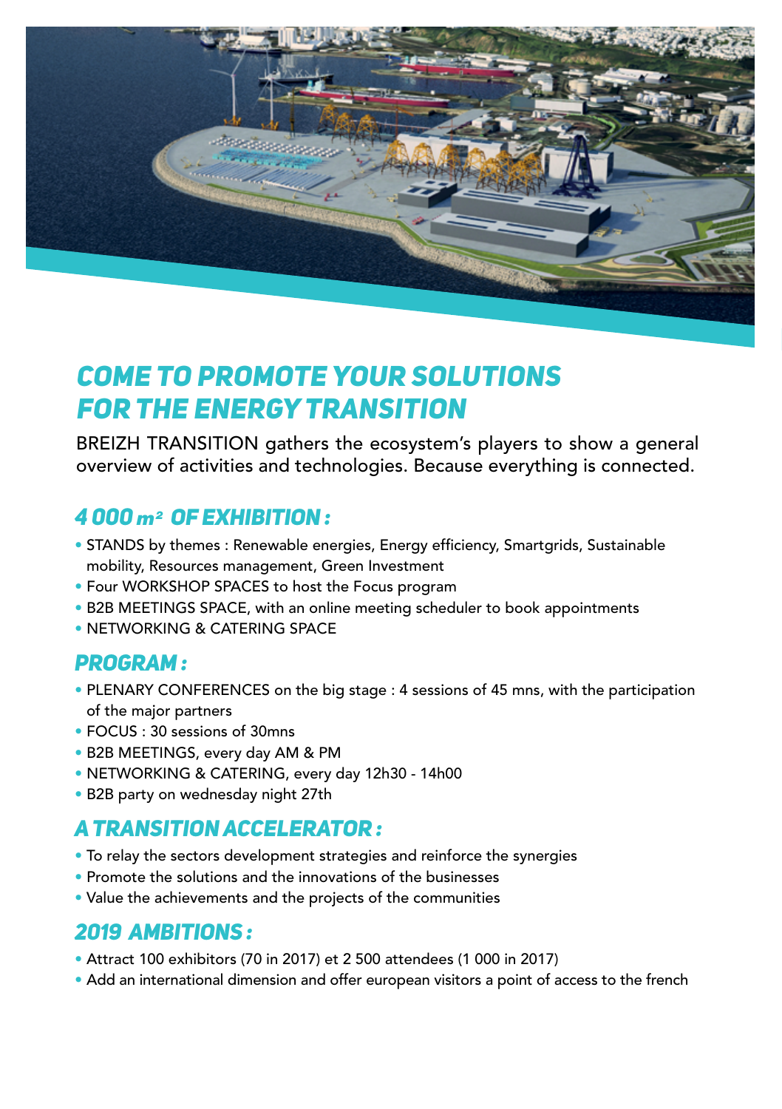

# *COME TO PROMOTE YOUR SOLUTIONS FOR THE ENERGY TRANSITION*

BREIZH TRANSITION gathers the ecosystem's players to show a general overview of activities and technologies. Because everything is connected.

## *4 000 m2 of exhibition :*

- STANDS by themes : Renewable energies, Energy efficiency, Smartgrids, Sustainable mobility, Resources management, Green Investment
- Four WORKSHOP SPACES to host the Focus program
- B2B MEETINGS SPACE, with an online meeting scheduler to book appointments
- NETWORKING & CATERING SPACE

### *PROGRAM :*

- PLENARY CONFERENCES on the big stage : 4 sessions of 45 mns, with the participation of the major partners
- FOCUS : 30 sessions of 30mns
- B2B MEETINGS, every day AM & PM
- NETWORKING & CATERING, every day 12h30 14h00
- B2B party on wednesday night 27th

### *A TRANSITION ACCELERATOR :*

- To relay the sectors development strategies and reinforce the synergies
- Promote the solutions and the innovations of the businesses
- Value the achievements and the projects of the communities

### *2019 AMBITIONS :*

- Attract 100 exhibitors (70 in 2017) et 2 500 attendees (1 000 in 2017)
- Add an international dimension and offer european visitors a point of access to the french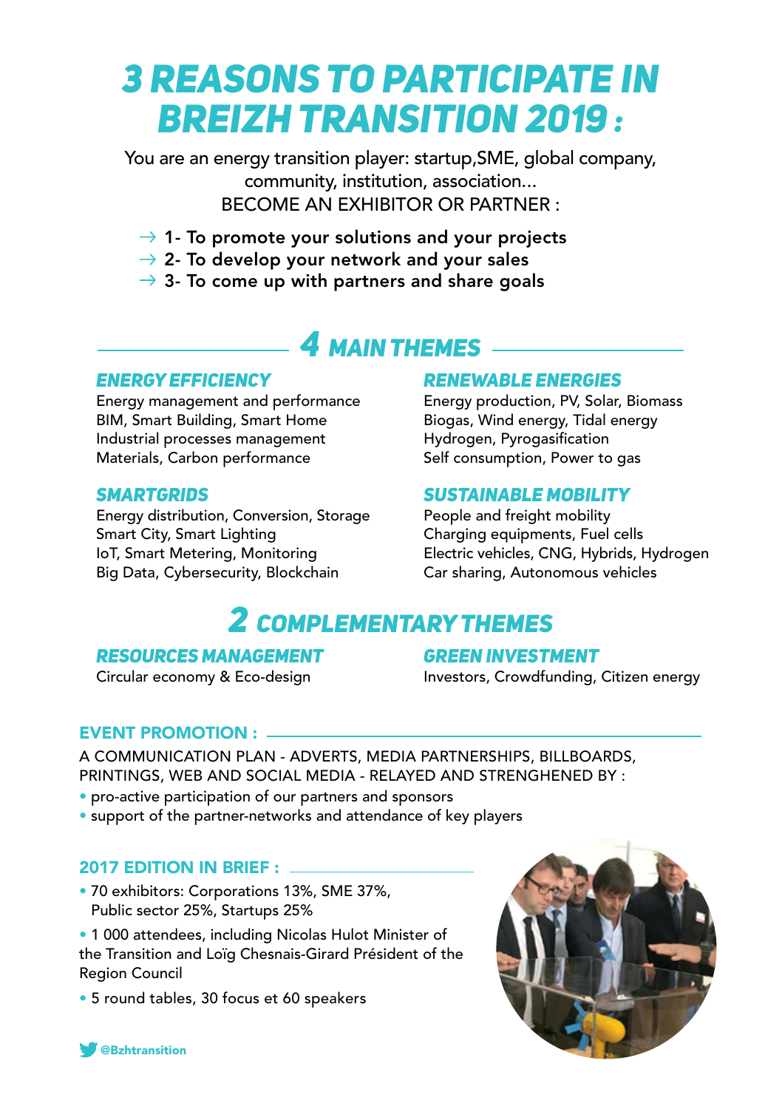# *3 REASONS TO PARTICIPATE IN BREIZH TRANSITION 2019 :*

You are an energy transition player: startup,SME, global company, community, institution, association... BECOME AN EXHIBITOR OR PARTNER :

- $\rightarrow$  1- To promote your solutions and your projects
- $\rightarrow$  2- To develop your network and your sales
- $\rightarrow$  3- To come up with partners and share goals

# *4 MAIN THEMES*

#### *ENERGY EFFICIENCY*

Energy management and performance BIM, Smart Building, Smart Home Industrial processes management Materials, Carbon performance

#### *SMARTGRIDS*

Energy distribution, Conversion, Storage Smart City, Smart Lighting IoT, Smart Metering, Monitoring Big Data, Cybersecurity, Blockchain

#### *RENEWABLE ENERGIES*

Energy production, PV, Solar, Biomass Biogas, Wind energy, Tidal energy Hydrogen, Pyrogasification Self consumption, Power to gas

#### *SUSTAINABLE MOBILITY*

People and freight mobility Charging equipments, Fuel cells Electric vehicles, CNG, Hybrids, Hydrogen Car sharing, Autonomous vehicles

# *2 COMPLEMENTARY THEMES*

#### *RESOURCES MANAGEMENT*

Circular economy & Eco-design

#### *GREEN INVESTMENT*

Investors, Crowdfunding, Citizen energy

#### EVENT PROMOTION :

A COMMUNICATION PLAN - ADVERTS, MEDIA PARTNERSHIPS, BILLBOARDS, PRINTINGS, WEB AND SOCIAL MEDIA - RELAYED AND STRENGHENED BY :

- pro-active participation of our partners and sponsors
- support of the partner-networks and attendance of key players

#### 2017 EDITION IN BRIEF :

• 70 exhibitors: Corporations 13%, SME 37%, Public sector 25%, Startups 25%

• 1 000 attendees, including Nicolas Hulot Minister of the Transition and Loïg Chesnais-Girard Président of the Region Council

• 5 round tables, 30 focus et 60 speakers